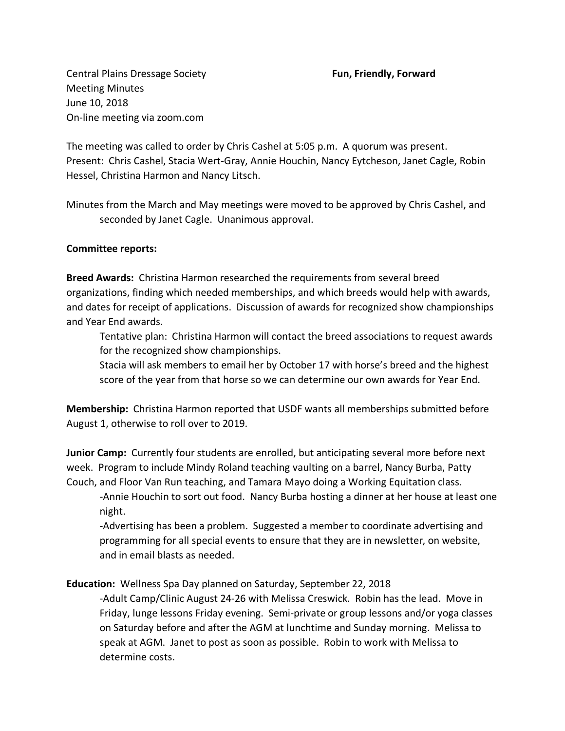Central Plains Dressage Society **Fun, Friendly, Forward** Meeting Minutes June 10, 2018 On-line meeting via zoom.com

The meeting was called to order by Chris Cashel at 5:05 p.m. A quorum was present. Present: Chris Cashel, Stacia Wert-Gray, Annie Houchin, Nancy Eytcheson, Janet Cagle, Robin Hessel, Christina Harmon and Nancy Litsch.

Minutes from the March and May meetings were moved to be approved by Chris Cashel, and seconded by Janet Cagle. Unanimous approval.

## **Committee reports:**

**Breed Awards:** Christina Harmon researched the requirements from several breed organizations, finding which needed memberships, and which breeds would help with awards, and dates for receipt of applications. Discussion of awards for recognized show championships and Year End awards.

Tentative plan: Christina Harmon will contact the breed associations to request awards for the recognized show championships.

Stacia will ask members to email her by October 17 with horse's breed and the highest score of the year from that horse so we can determine our own awards for Year End.

**Membership:** Christina Harmon reported that USDF wants all memberships submitted before August 1, otherwise to roll over to 2019.

**Junior Camp:** Currently four students are enrolled, but anticipating several more before next week. Program to include Mindy Roland teaching vaulting on a barrel, Nancy Burba, Patty Couch, and Floor Van Run teaching, and Tamara Mayo doing a Working Equitation class.

-Annie Houchin to sort out food. Nancy Burba hosting a dinner at her house at least one night.

-Advertising has been a problem. Suggested a member to coordinate advertising and programming for all special events to ensure that they are in newsletter, on website, and in email blasts as needed.

**Education:** Wellness Spa Day planned on Saturday, September 22, 2018

-Adult Camp/Clinic August 24-26 with Melissa Creswick. Robin has the lead. Move in Friday, lunge lessons Friday evening. Semi-private or group lessons and/or yoga classes on Saturday before and after the AGM at lunchtime and Sunday morning. Melissa to speak at AGM. Janet to post as soon as possible. Robin to work with Melissa to determine costs.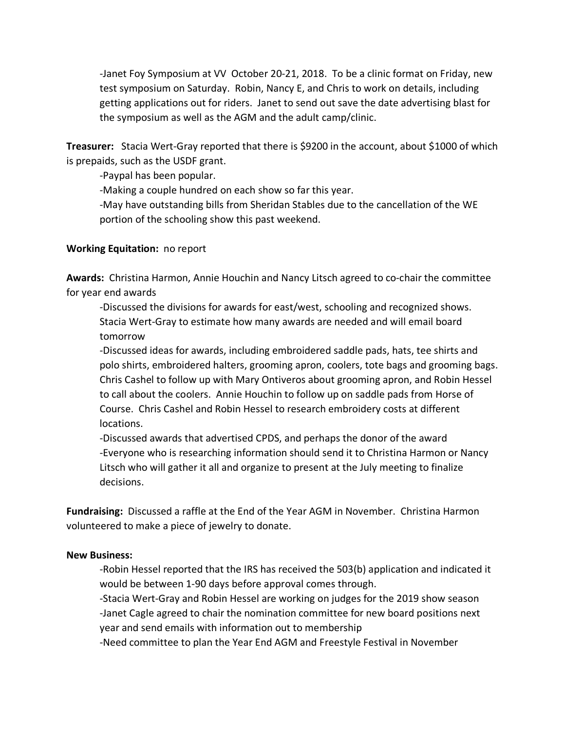-Janet Foy Symposium at VV October 20-21, 2018. To be a clinic format on Friday, new test symposium on Saturday. Robin, Nancy E, and Chris to work on details, including getting applications out for riders. Janet to send out save the date advertising blast for the symposium as well as the AGM and the adult camp/clinic.

**Treasurer:** Stacia Wert-Gray reported that there is \$9200 in the account, about \$1000 of which is prepaids, such as the USDF grant.

-Paypal has been popular.

-Making a couple hundred on each show so far this year.

-May have outstanding bills from Sheridan Stables due to the cancellation of the WE portion of the schooling show this past weekend.

## **Working Equitation:** no report

**Awards:** Christina Harmon, Annie Houchin and Nancy Litsch agreed to co-chair the committee for year end awards

-Discussed the divisions for awards for east/west, schooling and recognized shows. Stacia Wert-Gray to estimate how many awards are needed and will email board tomorrow

-Discussed ideas for awards, including embroidered saddle pads, hats, tee shirts and polo shirts, embroidered halters, grooming apron, coolers, tote bags and grooming bags. Chris Cashel to follow up with Mary Ontiveros about grooming apron, and Robin Hessel to call about the coolers. Annie Houchin to follow up on saddle pads from Horse of Course. Chris Cashel and Robin Hessel to research embroidery costs at different locations.

-Discussed awards that advertised CPDS, and perhaps the donor of the award -Everyone who is researching information should send it to Christina Harmon or Nancy Litsch who will gather it all and organize to present at the July meeting to finalize decisions.

**Fundraising:** Discussed a raffle at the End of the Year AGM in November. Christina Harmon volunteered to make a piece of jewelry to donate.

## **New Business:**

-Robin Hessel reported that the IRS has received the 503(b) application and indicated it would be between 1-90 days before approval comes through.

-Stacia Wert-Gray and Robin Hessel are working on judges for the 2019 show season -Janet Cagle agreed to chair the nomination committee for new board positions next year and send emails with information out to membership

-Need committee to plan the Year End AGM and Freestyle Festival in November